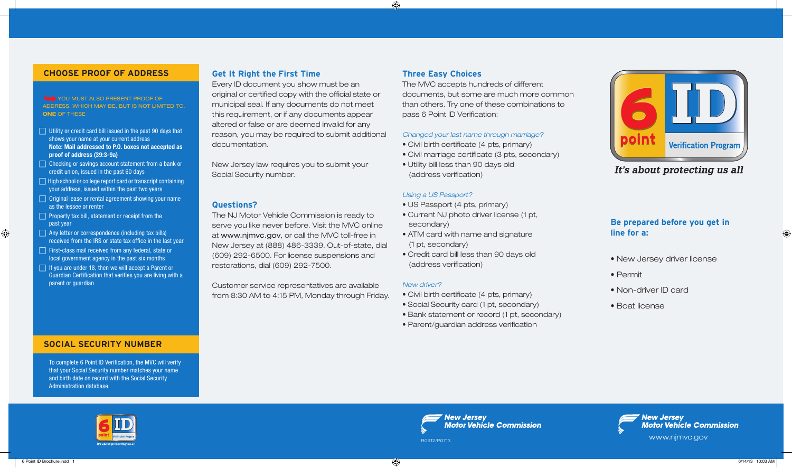#### **CHOOSE PROOF OF ADDRESS**

You must also present proof of address, which may be, but is not limited to, ONE OF THESE

- $\Box$  Utility or credit card bill issued in the past 90 days that shows your name at your current address Note: Mail addressed to P.O. boxes not accepted as proof of address (39:3-9a)
- $\Box$  Checking or savings account statement from a bank or credit union, issued in the past 60 days
- $\Box$  High school or college report card or transcript containing your address, issued within the past two years
- $\Box$  Original lease or rental agreement showing your name as the lessee or renter
- $\Box$  Property tax bill, statement or receipt from the past year

 $\bigoplus$ 

- $\Box$  Any letter or correspondence (including tax bills) received from the IRS or state tax office in the last year
- First-class mail received from any federal, state or local government agency in the past six months
- $\Box$  If you are under 18, then we will accept a Parent or Guardian Certification that verifies you are living with a parent or guardian

# **SOCIAL SECURITY NUMBER**

To complete 6 Point ID Verification, the MVC will verify that your Social Security number matches your name and birth date on record with the Social Security Administration database.

# **Get It Right the First Time**

Every ID document you show must be an original or certified copy with the official state or municipal seal. If any documents do not meet this requirement, or if any documents appear altered or false or are deemed invalid for any reason, you may be required to submit additional documentation.

New Jersey law requires you to submit your Social Security number.

#### **Questions?**

The NJ Motor Vehicle Commission is ready to serve you like never before. Visit the MVC online at www.njmvc.gov, or call the MVC toll-free in New Jersey at (888) 486-3339. Out-of-state, dial (609) 292-6500. For license suspensions and restorations, dial (609) 292-7500.

Customer service representatives are available from 8:30 AM to 4:15 PM, Monday through Friday.

## **Three Easy Choices**

 $\bigoplus$ 

The MVC accepts hundreds of different documents, but some are much more common than others. Try one of these combinations to pass 6 Point ID Verification:

#### *Changed your last name through marriage?*

- Civil birth certificate (4 pts, primary)
- Civil marriage certificate (3 pts, secondary)
- Utility bill less than 90 days old (address verification)

#### *Using a US Passport?*

- US Passport (4 pts, primary)
- Current NJ photo driver license (1 pt, secondary)
- ATM card with name and signature (1 pt, secondary)
- Credit card bill less than 90 days old (address verification)

#### *New driver?*

- Civil birth certificate (4 pts, primary)
- Social Security card (1 pt, secondary)
- Bank statement or record (1 pt, secondary)
- Parent/guardian address verification

**New Jersey** 

**Motor Vehicle Commission** 



It's about protecting us all

# **Be prepared before you get in line for a:**

- New Jersey driver license
- Permit
- Non-driver ID card
- Boat license



**New Jersey Motor Vehicle Commission** www.njmvc.gov<br>R0912/P0713

 $\langle \clubsuit \rangle$  6 Point ID Brochure.indd 1 6/14/13 10:03 AM

⊕